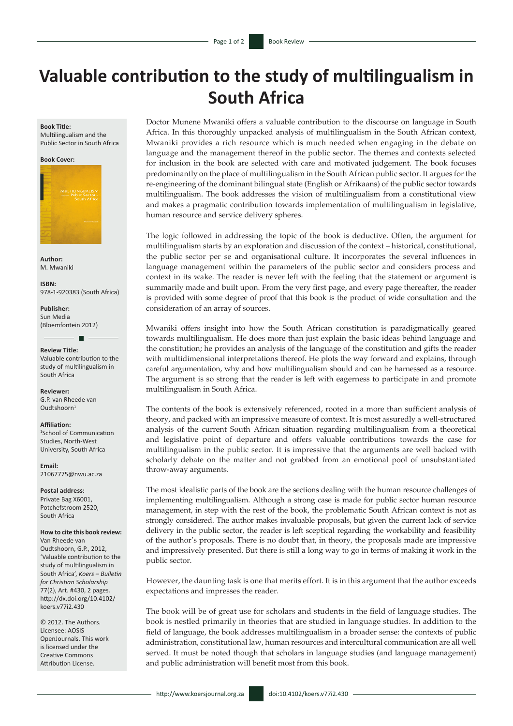## **Valuable contribution to the study of multilingualism in South Africa**

## **Book Title:**

Multilingualism and the Public Sector in South Africa

## **Book Cover:**



**Author:** M. Mwaniki

**ISBN:** 978-1-920383 (South Africa)

**Publisher:** Sun Media (Bloemfontein 2012)

**Review Title:** Valuable contribution to the study of multilingualism in South Africa

 $\blacksquare$ 

**Reviewer:** G.P. van Rheede van  $Outshoorn<sup>1</sup>$ 

**Affiliation:** 1 School of Communication Studies, North-West University, South Africa

**Email:** [21067775@nwu.ac.za](mailto:21067775@nwu.ac.za)

**Postal address:**  Private Bag X6001, Potchefstroom 2520, South Africa

**How to cite this book review:**

Van Rheede van Oudtshoorn, G.P., 2012, 'Valuable contribution to the study of multilingualism in South Africa', *Koers – Bulletin for Christian Scholarship*  77(2), Art. #430, 2 pages*.*  [http://dx.doi.org/10.4102/](http://dx.doi.org/10.4102/koers.v77i1.429) [koers.v77i2.43](http://dx.doi.org/10.4102/koers.v77i1.429)0

© 2012. The Authors. Licensee: AOSIS OpenJournals. This work is licensed under the Creative Commons Attribution License.

Doctor Munene Mwaniki offers a valuable contribution to the discourse on language in South Africa. In this thoroughly unpacked analysis of multilingualism in the South African context, Mwaniki provides a rich resource which is much needed when engaging in the debate on language and the management thereof in the public sector. The themes and contexts selected for inclusion in the book are selected with care and motivated judgement. The book focuses predominantly on the place of multilingualism in the South African public sector. It argues for the re-engineering of the dominant bilingual state (English or Afrikaans) of the public sector towards multilingualism. The book addresses the vision of multilingualism from a constitutional view and makes a pragmatic contribution towards implementation of multilingualism in legislative, human resource and service delivery spheres.

The logic followed in addressing the topic of the book is deductive. Often, the argument for multilingualism starts by an exploration and discussion of the context – historical, constitutional, the public sector per se and organisational culture. It incorporates the several influences in language management within the parameters of the public sector and considers process and context in its wake. The reader is never left with the feeling that the statement or argument is summarily made and built upon. From the very first page, and every page thereafter, the reader is provided with some degree of proof that this book is the product of wide consultation and the consideration of an array of sources.

Mwaniki offers insight into how the South African constitution is paradigmatically geared towards multilingualism. He does more than just explain the basic ideas behind language and the constitution; he provides an analysis of the language of the constitution and gifts the reader with multidimensional interpretations thereof. He plots the way forward and explains, through careful argumentation, why and how multilingualism should and can be harnessed as a resource. The argument is so strong that the reader is left with eagerness to participate in and promote multilingualism in South Africa.

The contents of the book is extensively referenced, rooted in a more than sufficient analysis of theory, and packed with an impressive measure of context. It is most assuredly a well-structured analysis of the current South African situation regarding multilingualism from a theoretical and legislative point of departure and offers valuable contributions towards the case for multilingualism in the public sector. It is impressive that the arguments are well backed with scholarly debate on the matter and not grabbed from an emotional pool of unsubstantiated throw-away arguments.

The most idealistic parts of the book are the sections dealing with the human resource challenges of implementing multilingualism. Although a strong case is made for public sector human resource management, in step with the rest of the book, the problematic South African context is not as strongly considered. The author makes invaluable proposals, but given the current lack of service delivery in the public sector, the reader is left sceptical regarding the workability and feasibility of the author's proposals. There is no doubt that, in theory, the proposals made are impressive and impressively presented. But there is still a long way to go in terms of making it work in the public sector.

However, the daunting task is one that merits effort. It is in this argument that the author exceeds expectations and impresses the reader.

The book will be of great use for scholars and students in the field of language studies. The book is nestled primarily in theories that are studied in language studies. In addition to the field of language, the book addresses multilingualism in a broader sense: the contexts of public administration, constitutional law, human resources and intercultural communication are all well served. It must be noted though that scholars in language studies (and language management) and public administration will benefit most from this book.